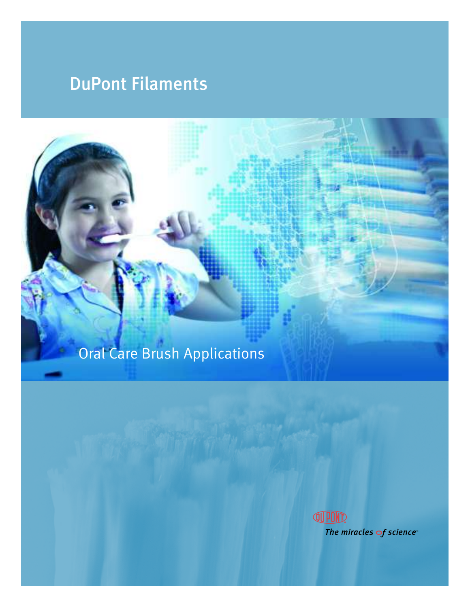# DuPont Filaments

# Oral Care Brush Applications

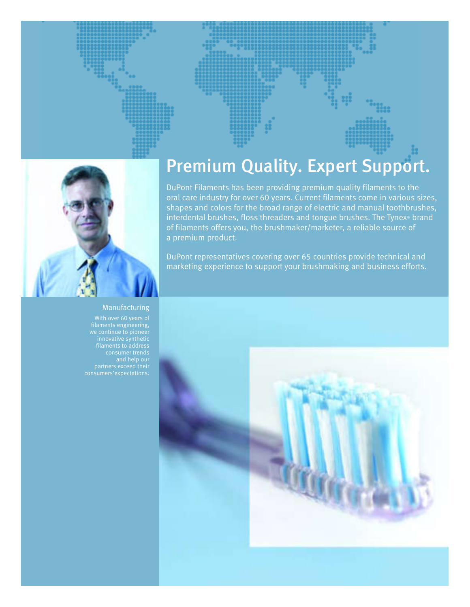





#### Manufacturing

With over 60 years of partners exceed their

# Premium Quality. Expert Support.

DuPont Filaments has been providing premium quality filaments to the oral care industry for over 60 years. Current filaments come in various sizes, shapes and colors for the broad range of electric and manual toothbrushes, interdental brushes, floss threaders and tongue brushes. The Tynex® brand of filaments offers you, the brushmaker/marketer, a reliable source of a premium product.

DuPont representatives covering over 65 countries provide technical and marketing experience to support your brushmaking and business efforts.

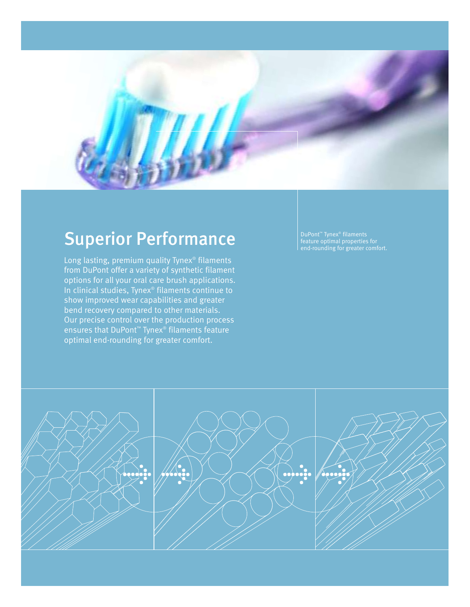

# Superior Performance

Long lasting, premium quality Tynex® filaments from DuPont offer a variety of synthetic filament options for all your oral care brush applications. In clinical studies, Tynex® filaments continue to show improved wear capabilities and greater bend recovery compared to other materials. Our precise control over the production process ensures that DuPont™ Tynex® filaments feature optimal end-rounding for greater comfort.

DuPont™ Tynex® filaments feature optimal properties for end-rounding for greater comfort.

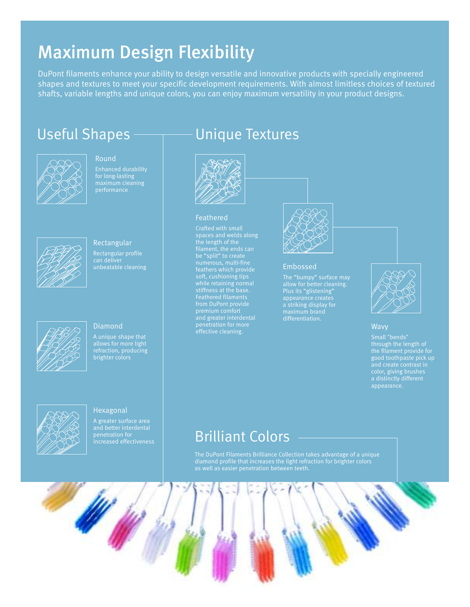## Maximum Design Flexibility

DuPont filaments enhance your ability to design versatile and innovative products with specially engineered shapes and textures to meet your specific development requirements. With almost limitless choices of textured shafts, variable lengths and unique colors, you can enjoy maximum versatility in your product designs.



Round for long-lasting performance



Rectangular Rectangular profile unbeatable cleaning



#### **Diamond**

allows for more light refraction, producing brighter colors



Hexagonal A greater surface area and better interdental

### Useful Shapes — Unique Textures



#### Feathered

spaces and welds along the length of the soft, cushioning tips while retaining normal premium comfort and greater interdental effective cleaning.



#### Embossed

allow for better cleaning. Plus its "glistening" appearance creates a striking display for



#### **Wavy**

through the length of good toothpaste pick up color, giving brushes a distinctly different appearance.

### Brilliant Colors

The DuPont Filaments Brilliance Collection takes advantage of a unique diamond profile that increases the light refraction for brighter colors

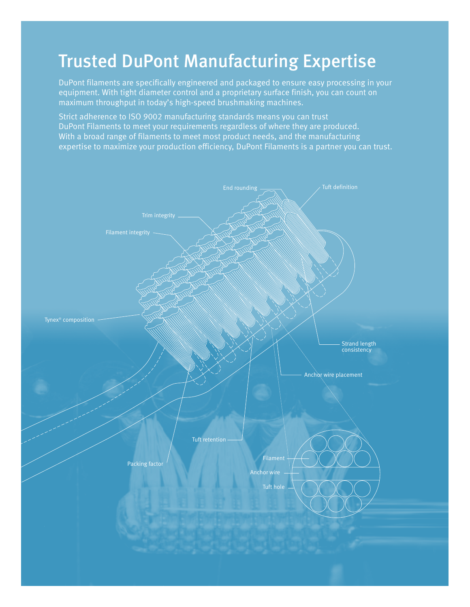### Trusted DuPont Manufacturing Expertise

DuPont filaments are specifically engineered and packaged to ensure easy processing in your equipment. With tight diameter control and a proprietary surface finish, you can count on maximum throughput in today's high-speed brushmaking machines.

Strict adherence to ISO 9002 manufacturing standards means you can trust DuPont Filaments to meet your requirements regardless of where they are produced. With a broad range of filaments to meet most product needs, and the manufacturing expertise to maximize your production efficiency, DuPont Filaments is a partner you can trust.